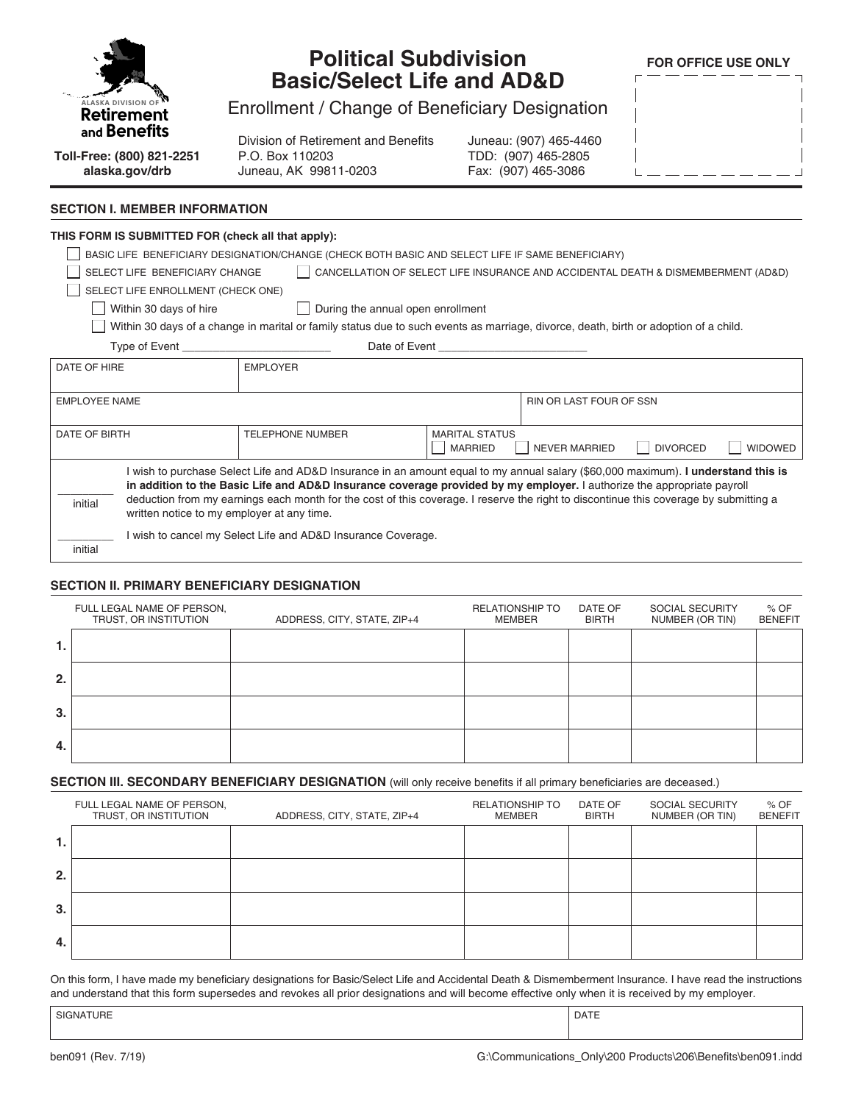

## **Political Subdivision Basic/Select Life and AD&D**

**FOR OFFICE USE ONLY**

Enrollment / Change of Beneficiary Designation

Division of Retirement and Benefits P.O. Box 110203 Juneau, AK 99811-0203

Juneau: (907) 465-4460 TDD: (907) 465-2805 Fax: (907) 465-3086

| $\overline{\phantom{a}}$ |  |  |  |  | $\overline{\phantom{a}}$ |
|--------------------------|--|--|--|--|--------------------------|
| $\overline{\phantom{a}}$ |  |  |  |  | I                        |
| $\overline{\phantom{a}}$ |  |  |  |  | I                        |
| $\overline{\phantom{a}}$ |  |  |  |  | $\overline{\phantom{a}}$ |
|                          |  |  |  |  | $\overline{1}$           |

# **alaska.gov/drb**

**Toll-Free: (800) 821-2251**

#### **SECTION I. MEMBER INFORMATION**

### **THIS FORM IS SUBMITTED FOR (check all that apply):** BASIC LIFE BENEFICIARY DESIGNATION/CHANGE (CHECK BOTH BASIC AND SELECT LIFE IF SAME BENEFICIARY) SELECT LIFE BENEFICIARY CHANGE | CANCELLATION OF SELECT LIFE INSURANCE AND ACCIDENTAL DEATH & DISMEMBERMENT (AD&D) SELECT LIFE ENROLLMENT (CHECK ONE)  $\Box$  Within 30 days of hire  $\Box$  During the annual open enrollment Within 30 days of a change in marital or family status due to such events as marriage, divorce, death, birth or adoption of a child. Type of Event Type of Event DATE OF HIRE **EMPLOYER** EMPLOYEE NAME RIN OR LAST FOUR OF SSN DATE OF BIRTH TELEPHONE NUMBER MARITAL STATUS ||MARRIED ||NEVER MARRIED ||DIVORCED ||WIDOWED

 $\overline{\phantom{a}}$ initial I wish to purchase Select Life and AD&D Insurance in an amount equal to my annual salary (\$60,000 maximum). **I understand this is in addition to the Basic Life and AD&D Insurance coverage provided by my employer.** I authorize the appropriate payroll deduction from my earnings each month for the cost of this coverage. I reserve the right to discontinue this coverage by submitting a written notice to my employer at any time.  $\overline{\phantom{a}}$ I wish to cancel my Select Life and AD&D Insurance Coverage.

#### **SECTION II. PRIMARY BENEFICIARY DESIGNATION**

|    | FULL LEGAL NAME OF PERSON,<br>TRUST, OR INSTITUTION | ADDRESS, CITY, STATE, ZIP+4 | <b>RELATIONSHIP TO</b><br><b>MEMBER</b> | DATE OF<br><b>BIRTH</b> | SOCIAL SECURITY<br>NUMBER (OR TIN) | $%$ OF<br><b>BENEFIT</b> |
|----|-----------------------------------------------------|-----------------------------|-----------------------------------------|-------------------------|------------------------------------|--------------------------|
|    |                                                     |                             |                                         |                         |                                    |                          |
| 2. |                                                     |                             |                                         |                         |                                    |                          |
| 3. |                                                     |                             |                                         |                         |                                    |                          |
| 4. |                                                     |                             |                                         |                         |                                    |                          |

#### **SECTION III. SECONDARY BENEFICIARY DESIGNATION** (will only receive benefits if all primary beneficiaries are deceased.)

|     | FULL LEGAL NAME OF PERSON,<br>TRUST, OR INSTITUTION | ADDRESS, CITY, STATE, ZIP+4 | <b>RELATIONSHIP TO</b><br>MEMBER | DATE OF<br><b>BIRTH</b> | SOCIAL SECURITY<br>NUMBER (OR TIN) | $%$ OF<br><b>BENEFIT</b> |
|-----|-----------------------------------------------------|-----------------------------|----------------------------------|-------------------------|------------------------------------|--------------------------|
| ъ.  |                                                     |                             |                                  |                         |                                    |                          |
| 2.  |                                                     |                             |                                  |                         |                                    |                          |
| 3.  |                                                     |                             |                                  |                         |                                    |                          |
| -4. |                                                     |                             |                                  |                         |                                    |                          |

On this form, I have made my beneficiary designations for Basic/Select Life and Accidental Death & Dismemberment Insurance. I have read the instructions and understand that this form supersedes and revokes all prior designations and will become effective only when it is received by my employer.

| SIGNATURE | <b>DATE</b> |
|-----------|-------------|
|           |             |

initial